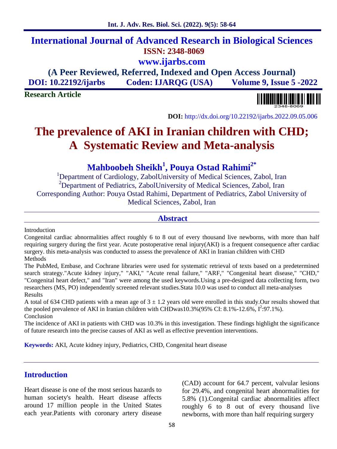## **International Journal of Advanced Research in Biological Sciences ISSN: 2348-8069 www.ijarbs.com**

## **(A Peer Reviewed, Referred, Indexed and Open Access Journal) DOI: 10.22192/ijarbs Coden: IJARQG (USA) Volume 9, Issue 5 -2022**

**Research Article**

<u> A BALAN DA ALAM DA BARA</u>

**DOI:** http://dx.doi.org/10.22192/ijarbs.2022.09.05.006

# **The prevalence of AKI in Iranian children with CHD; A Systematic Review and Meta-analysis**

## **Mahboobeh Sheikh<sup>1</sup> , Pouya Ostad Rahimi2\***

<sup>1</sup>Department of Cardiology, ZabolUniversity of Medical Sciences, Zabol, Iran <sup>2</sup>Department of Pediatrics, ZabolUniversity of Medical Sciences, Zabol, Iran Corresponding Author: Pouya Ostad Rahimi, Department of Pediatrics, Zabol University of Medical Sciences, Zabol, Iran

#### **Abstract**

Introduction

Congenital cardiac abnormalities affect roughly 6 to 8 out of every thousand live newborns, with more than half requiring surgery during the first year. Acute postoperative renal injury(AKI) is a frequent consequence after cardiac surgery. this meta-analysis was conducted to assess the prevalence of AKI in Iranian children with CHD Methods

The PubMed, Embase, and Cochrane libraries were used for systematic retrieval of texts based on a predetermined search strategy."Acute kidney injury," "AKI," "Acute renal failure," "ARF," "Congenital heart disease," "CHD," "Congenital heart defect," and "Iran" were among the used keywords.Using a pre-designed data collecting form, two researchers (MS, PO) independently screened relevant studies.Stata 10.0 was used to conduct all meta-analyses Results

A total of 634 CHD patients with a mean age of  $3 \pm 1.2$  years old were enrolled in this study. Our results showed that the pooled prevalence of AKI in Iranian children with CHDwas10.3% $(95\%$  CI: 8.1%-12.6%,  $I^2:97.1\%$ ). Conclusion

The incidence of AKI in patients with CHD was 10.3% in this investigation. These findings highlight the significance of future research into the precise causes of AKI as well as effective prevention interventions.

**Keywords:** AKI, Acute kidney injury, Pediatrics, CHD, Congenital heart disease

## **Introduction**

Heart disease is one of the most serious hazards to human society's health. Heart disease affects around 17 million people in the United States each year.Patients with coronary artery disease

(CAD) account for 64.7 percent, valvular lesions for 29.4%, and congenital heart abnormalities for 5.8% (1).Congenital cardiac abnormalities affect roughly 6 to 8 out of every thousand live newborns, with more than half requiring surgery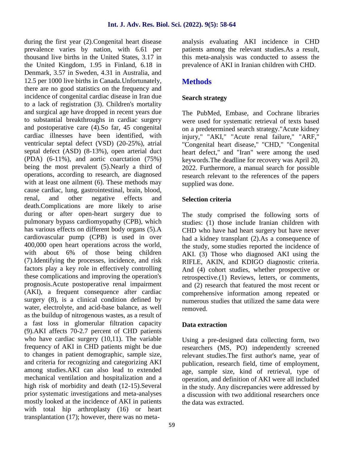during the first year (2).Congenital heart disease prevalence varies by nation, with 6.61 per thousand live births in the United States, 3.17 in the United Kingdom, 1.95 in Finland, 6.18 in Denmark, 3.57 in Sweden, 4.31 in Australia, and 12.5 per 1000 live births in Canada.Unfortunately, there are no good statistics on the frequency and incidence of congenital cardiac disease in Iran due to a lack of registration (3). Children's mortality and surgical age have dropped in recent years due to substantial breakthroughs in cardiac surgery and postoperative care (4).So far, 45 congenital cardiac illnesses have been identified, with ventricular septal defect (VSD) (20-25%), atrial septal defect (ASD) (8-13%), open arterial duct (PDA) (6-11%), and aortic coarctation (75%) being the most prevalent (5).Nearly a third of operations, according to research, are diagnosed with at least one ailment (6). These methods may cause cardiac, lung, gastrointestinal, brain, blood, renal, and other negative effects and death.Complications are more likely to arise during or after open-heart surgery due to pulmonary bypass cardiomyopathy (CPB), which has various effects on different body organs (5).A cardiovascular pump (CPB) is used in over 400,000 open heart operations across the world, with about 6% of those being children (7).Identifying the processes, incidence, and risk factors play a key role in effectively controlling these complications and improving the operation's prognosis.Acute postoperative renal impairment (AKI), a frequent consequence after cardiac surgery (8), is a clinical condition defined by water, electrolyte, and acid-base balance, as well as the buildup of nitrogenous wastes, as a result of a fast loss in glomerular filtration capacity (9).AKI affects 70-2.7 percent of CHD patients who have cardiac surgery (10,11). The variable frequency of AKI in CHD patients might be due to changes in patient demographic, sample size, and criteria for recognizing and categorizing AKI among studies.AKI can also lead to extended mechanical ventilation and hospitalization and a high risk of morbidity and death (12-15).Several prior systematic investigations and meta-analyses mostly looked at the incidence of AKI in patients with total hip arthroplasty (16) or heart transplantation (17); however, there was no metaanalysis evaluating AKI incidence in CHD patients among the relevant studies.As a result, this meta-analysis was conducted to assess the prevalence of AKI in Iranian children with CHD.

## **Methods**

### **Search strategy**

The PubMed, Embase, and Cochrane libraries were used for systematic retrieval of texts based on a predetermined search strategy."Acute kidney injury," "AKI," "Acute renal failure," "ARF," "Congenital heart disease," "CHD," "Congenital heart defect," and "Iran" were among the used keywords.The deadline for recovery was April 20, 2022. Furthermore, a manual search for possible research relevant to the references of the papers supplied was done.

### **Selection criteria**

The study comprised the following sorts of studies: (1) those include Iranian children with CHD who have had heart surgery but have never had a kidney transplant (2).As a consequence of the study, some studies reported the incidence of AKI. (3) Those who diagnosed AKI using the RIFLE, AKIN, and KDIGO diagnostic criteria. And (4) cohort studies, whether prospective or retrospective.(1) Reviews, letters, or comments, and (2) research that featured the most recent or comprehensive information among repeated or numerous studies that utilized the same data were removed.

## **Data extraction**

Using a pre-designed data collecting form, two researchers (MS, PO) independently screened relevant studies.The first author's name, year of publication, research field, time of employment, age, sample size, kind of retrieval, type of operation, and definition of AKI were all included in the study. Any discrepancies were addressed by a discussion with two additional researchers once the data was extracted.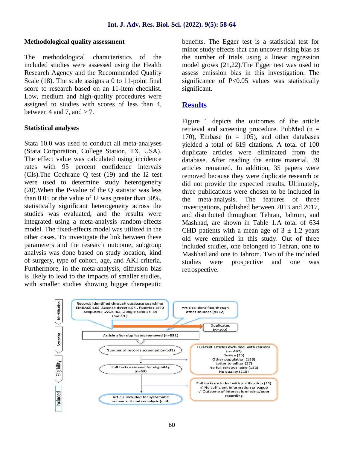#### **Methodological quality assessment**

The methodological characteristics of the included studies were assessed using the Health Research Agency and the Recommended Quality Scale (18). The scale assigns a 0 to 11-point final score to research based on an 11-item checklist. Low, medium and high-quality procedures were assigned to studies with scores of less than 4, between 4 and 7, and  $>$  7.

#### **Statistical analyses**

Stata 10.0 was used to conduct all meta-analyses (Stata Corporation, College Station, TX, USA). The effect value was calculated using incidence rates with 95 percent confidence intervals (CIs).The Cochrane Q test (19) and the I2 test were used to determine study heterogeneity (20).When the P-value of the Q statistic was less than 0.05 or the value of I2 was greater than 50%, statistically significant heterogeneity across the studies was evaluated, and the results were integrated using a meta-analysis random-effects model. The fixed-effects model was utilized in the other cases. To investigate the link between these parameters and the research outcome, subgroup analysis was done based on study location, kind of surgery, type of cohort, age, and AKI criteria. Furthermore, in the meta-analysis, diffusion bias is likely to lead to the impacts of smaller studies, with smaller studies showing bigger therapeutic benefits. The Egger test is a statistical test for minor study effects that can uncover rising bias as the number of trials using a linear regression model grows (21,22).The Egger test was used to assess emission bias in this investigation. The significance of P<0.05 values was statistically significant.

### **Results**

Figure 1 depicts the outcomes of the article retrieval and screening procedure. PubMed  $(n =$ 170), Embase ( $n = 105$ ), and other databases yielded a total of 619 citations. A total of 100 duplicate articles were eliminated from the database. After reading the entire material, 39 articles remained. In addition, 35 papers were removed because they were duplicate research or did not provide the expected results. Ultimately, three publications were chosen to be included in the meta-analysis. The features of three investigations, published between 2013 and 2017, and distributed throughout Tehran, Jahrom, and Mashhad, are shown in Table 1.A total of 634 CHD patients with a mean age of  $3 \pm 1.2$  years old were enrolled in this study. Out of three included studies, one belonged to Tehran, one to Mashhad and one to Jahrom. Two of the included studies were prospective and one was retrospective.

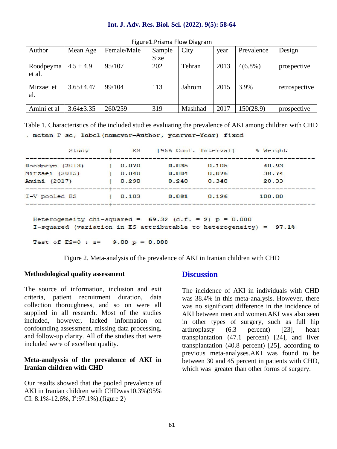#### **Int. J. Adv. Res. Biol. Sci. (2022). 9(5): 58-64**

| Author              | Mean Age        | Female/Male | Sample<br>Size | City    | year | Prevalence | Design        |
|---------------------|-----------------|-------------|----------------|---------|------|------------|---------------|
| Roodpeyma<br>et al. | $4.5 \pm 4.9$   | 95/107      | 202            | Tehran  | 2013 | $4(6.8\%)$ | prospective   |
| Mirzaei et<br>al.   | $3.65 \pm 4.47$ | 99/104      | 113            | Jahrom  | 2015 | 3.9%       | retrospective |
| Amini et al         | $3.64 \pm 3.35$ | 260/259     | 319            | Mashhad | 2017 | 150(28.9)  | prospective   |

Figure1.Prisma Flow Diagram

Table 1. Characteristics of the included studies evaluating the prevalence of AKI among children with CHD . metan P se, label(namevar=Author, yearvar=Year) fixed

| Study           | ES    | [95% Conf. Interval] |       | % Weight |  |
|-----------------|-------|----------------------|-------|----------|--|
| Roodpewm (2013) | 0.070 | 0.035                | 0.105 | 40.93    |  |
| Mirzaei (2015)  | 0.040 | 0.004                | 0.076 | 38.74    |  |
| Amini (2017)    | 0.290 | 0.240                | 0.340 | 20.33    |  |
| I-V pooled ES   | 0.103 | 0.081                | 0.126 | 100.00   |  |

Heterogeneity chi-squared =  $69.32$  (d.f. = 2)  $p = 0.000$ I-squared (variation in ES attributable to heterogeneity) = 97.1%

Test of  $ES=0$  :  $z=$  $9.00 p = 0.000$ 

Figure 2. Meta-analysis of the prevalence of AKI in Iranian children with CHD

#### **Methodological quality assessment**

The source of information, inclusion and exit criteria, patient recruitment duration, data collection thoroughness, and so on were all supplied in all research. Most of the studies included, however, lacked information confounding assessment, missing data processing, and follow-up clarity. All of the studies that were included were of excellent quality.

#### **Meta-analyysis of the prevalence of AKI in Iranian children with CHD**

Our results showed that the pooled prevalence of AKI in Iranian children with CHDwas10.3%(95% CI: 8.1%-12.6%,  $I^2$ :97.1%).(figure 2)

#### **Discussion**

The incidence of AKI in individuals with CHD was 38.4% in this meta-analysis. However, there was no significant difference in the incidence of AKI between men and women.AKI was also seen in other types of surgery, such as full hip arthroplasty (6.3 percent) [23], heart transplantation (47.1 percent) [24], and liver transplantation (40.8 percent) [25], according to previous meta-analyses.AKI was found to be between 30 and 45 percent in patients with CHD, which was greater than other forms of surgery.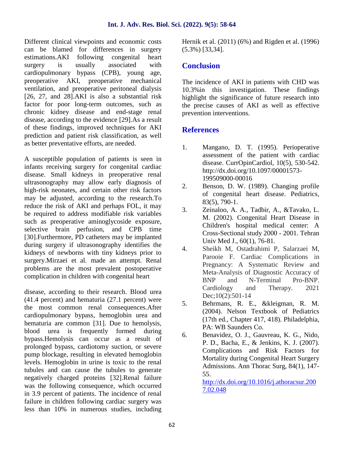Different clinical viewpoints and economic costs can be blamed for differences in surgery estimations.AKI following congenital heart surgery is usually associated with cardiopulmonary bypass (CPB), young age, preoperative AKI, preoperative mechanical ventilation, and preoperative peritoneal dialysis [26, 27, and 28].AKI is also a substantial risk factor for poor long-term outcomes, such as chronic kidney disease and end-stage renal disease, according to the evidence [29].As a result of these findings, improved techniques for AKI prediction and patient risk classification, as well as better preventative efforts, are needed.

A susceptible population of patients is seen in infants receiving surgery for congenital cardiac disease. Small kidneys in preoperative renal ultrasonography may allow early diagnosis of high-risk neonates, and certain other risk factors may be adjusted, according to the research.To reduce the risk of AKI and perhaps FOL, it may  $\frac{3}{2}$ be required to address modifiable risk variables such as preoperative aminoglycoside exposure, selective brain perfusion, and CPB time [30].Furthermore, PD catheters may be implanted during surgery if ultrasonography identifies the kidneys of newborns with tiny kidneys prior to surgery.Mirzaei et al. made an attempt. Renal problems are the most prevalent postoperative complication in children with congenital heart

disease, according to their research. Blood urea (41.4 percent) and hematuria (27.1 percent) were  $\frac{1}{2}$ the most common renal consequences.After cardiopulmonary bypass, hemoglobin urea and hematuria are common [31]. Due to hemolysis, blood urea is frequently formed during bypass.Hemolysis can occur as a result of prolonged bypass, cardiotomy suction, or severe pump blockage, resulting in elevated hemoglobin levels. Hemoglobin in urine is toxic to the renal tubules and can cause the tubules to generate negatively charged proteins [32].Renal failure was the following consequence, which occurred in 3.9 percent of patients. The incidence of renal failure in children following cardiac surgery was less than 10% in numerous studies, including

Hernik et al. (2011) (6%) and Rigden et al. (1996) (5.3%) [33,34].

## **Conclusion**

The incidence of AKI in patients with CHD was 10.3%in this investigation. These findings highlight the significance of future research into the precise causes of AKI as well as effective prevention interventions.

## **References**

- 1. Mangano, D. T. (1995). Perioperative assessment of the patient with cardiac disease. CurrOpinCardiol, 10(5), 530-542. http://dx.doi.org/10.1097/00001573- 199509000-00016
- 2. Benson, D. W. (1989). Changing profile of congenital heart disease. Pediatrics, 83(5), 790-1.
- Zeinaloo, A. A., Tadbir, A., &Tavako, L. M. (2002). Congenital Heart Disease in Children's hospital medical center: A Cross-Sectional study 2000 - 2001. Tehran Univ Med J., 60(1), 76-81.
- 4. Sheikh M, Ostadrahimi P, Salarzaei M, Parooie F. Cardiac Complications in Pregnancy: A Systematic Review and Meta-Analysis of Diagnostic Accuracy of BNP and N-Terminal Pro-BNP. Cardiology and Therapy. 2021 Dec;10(2):501-14
- 5. Behrmans, R. E., &kleigman, R. M. (2004). Nelson Textbook of Pediatrics (17th ed., Chapter 417, 418). Philadelphia, PA: WB Saunders Co.
- 6. Benavidez, O. J., Gauvreau, K. G., Nido, P. D., Bacha, E., & Jenkins, K. J. (2007). Complications and Risk Factors for Mortality during Congenital Heart Surgery Admissions. Ann Thorac Surg, 84(1), 147- 55.

http://dx.doi.org/10.1016/j.athoracsur.200 7.02.048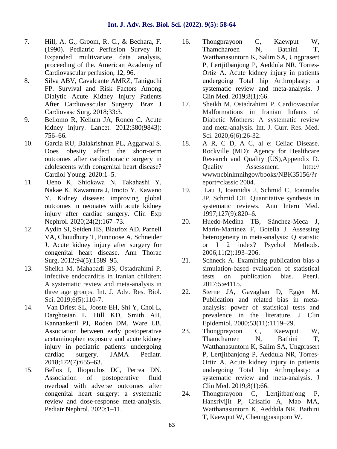- 7. Hill, A. G., Groom, R. C., & Bechara, F. (1990). Pediatric Perfusion Survey II: Expanded multivariate data analysis, proceeding of the. American Academy of Cardiovascular perfusion, 12, 96.
- 8. Silva ABV, Cavalcante AMRZ, Taniguchi FP. Survival and Risk Factors Among Dialytic Acute Kidney Injury Patients After Cardiovascular Surgery. Braz J Cardiovasc Surg. 2018;33:3.
- 9. Bellomo R, Kellum JA, Ronco C. Acute kidney injury. Lancet. 2012;380(9843): 756–66.
- 10. Garcia RU, Balakrishnan PL, Aggarwal S. Does obesity affect the short-term outcomes after cardiothoracic surgery in adolescents with congenital heart disease? Cardiol Young. 2020:1–5.
- 11. Ueno K, Shiokawa N, Takahashi Y, Nakae K, Kawamura J, Imoto Y, Kawano Y. Kidney disease: improving global outcomes in neonates with acute kidney injury after cardiac surgery. Clin Exp Nephrol. 2020;24(2):167–73.
- 12. Aydin SI, Seiden HS, Blaufox AD, Parnell VA, Choudhury T, Punnoose A, Schneider J. Acute kidney injury after surgery for congenital heart disease. Ann Thorac Surg. 2012;94(5):1589–95.
- 13. Sheikh M, Mahabadi BS, Ostadrahimi P. Infective endocarditis in Iranian children: A systematic review and meta-analysis in three age groups. Int. J. Adv. Res. Biol. Sci. 2019;6(5):110-7.
- 14. Van Driest SL, Jooste EH, Shi Y, Choi L, Darghosian L, Hill KD, Smith AH, Kannankeril PJ, Roden DM, Ware LB. Association between early postoperative 23. acetaminophen exposure and acute kidney injury in pediatric patients undergoing cardiac surgery. JAMA Pediatr. 2018;172(7):655–63.
- 15. Bellos I, Iliopoulos DC, Perrea DN. Association of postoperative fluid overload with adverse outcomes after congenital heart surgery: a systematic review and dose-response meta-analysis. Pediatr Nephrol. 2020:1–11.
- 16. Thongprayoon C, Kaewput W, Thamcharoen N, Bathini T, Watthanasuntorn K, Salim SA, Ungprasert P, Lertjitbanjong P, Aeddula NR, Torres- Ortiz A. Acute kidney injury in patients undergoing Total hip Arthroplasty: a systematic review and meta-analysis. J Clin Med. 2019;8(1):66.
- 17. Sheikh M, Ostadrahimi P. Cardiovascular Malformations in Iranian Infants of Diabetic Mothers: A systematic review and meta-analysis. Int. J. Curr. Res. Med. Sci. 2020;6(6):26-32.
- 18. A R, C D, A C, al e: Celiac Disease. Rockville (MD): Agency for Healthcare Research and Quality (US),Appendix D. Quality Assessment. http:// wwwncbinlmnihgov/books/NBK35156/?r eport=classic 2004.
- Lau J, Ioannidis J, Schmid C, Ioannidis JP, Schmid CH. Quantitative synthesis in systematic reviews. Ann Intern Med. 1997;127(9):820–6.
- 20. Huedo-Medina TB, Sánchez-Meca J, Marín-Martínez F, Botella J. Assessing heterogeneity in meta-analysis: Q statistic or I 2 index? Psychol Methods. 2006;11(2):193–206.
- 21. Schneck A. Examining publication bias-a simulation-based evaluation of statistical tests on publication bias. PeerJ. 2017;5:e4115.
- 22. Sterne JA, Gavaghan D, Egger M. Publication and related bias in meta analysis: power of statistical tests and prevalence in the literature. J Clin Epidemiol. 2000;53(11):1119–29.
- Thongprayoon C, Kaewput W, Thamcharoen N, Bathini T, Watthanasuntorn K, Salim SA, Ungprasert P, Lertjitbanjong P, Aeddula NR, Torres- Ortiz A. Acute kidney injury in patients undergoing Total hip Arthroplasty: a systematic review and meta-analysis. J Clin Med. 2019;8(1):66.
- Thongprayoon C, Lertjitbanjong P, Hansrivijit P, Crisafio A, Mao MA, Watthanasuntorn K, Aeddula NR, Bathini T, Kaewput W, Cheungpasitporn W.